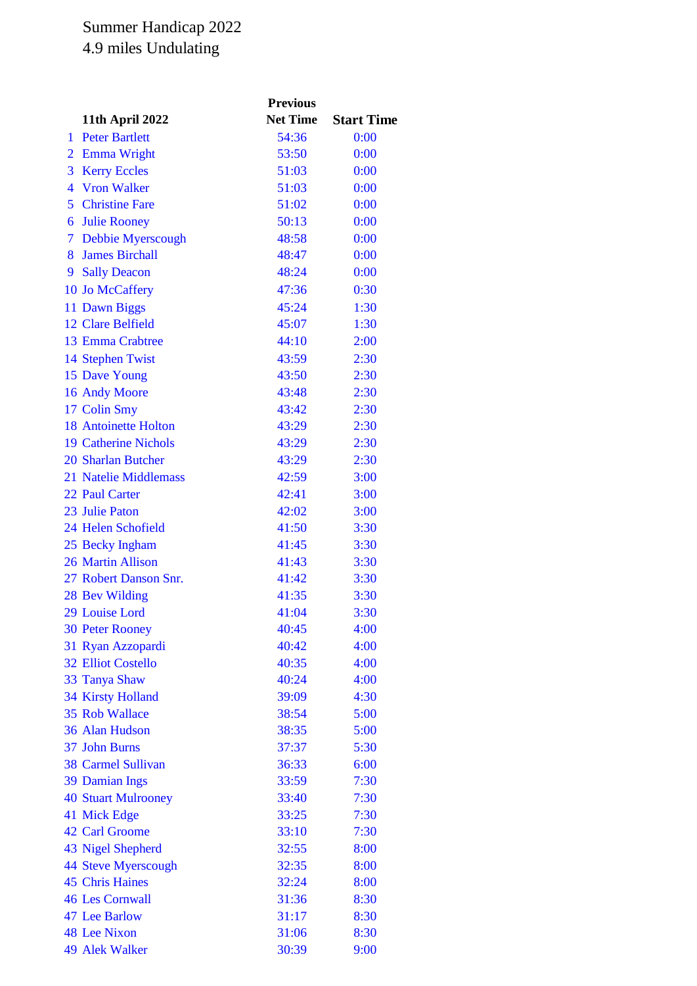## Summer Handicap 2022 4.9 miles Undulating

|                |                             | <b>Previous</b> |                   |
|----------------|-----------------------------|-----------------|-------------------|
|                | 11th April 2022             | <b>Net Time</b> | <b>Start Time</b> |
| 1              | <b>Peter Bartlett</b>       | 54:36           | 0:00              |
| $\overline{2}$ | <b>Emma Wright</b>          | 53:50           | 0:00              |
| 3              | <b>Kerry Eccles</b>         | 51:03           | 0:00              |
| $\overline{4}$ | <b>Vron Walker</b>          | 51:03           | 0:00              |
| 5              | <b>Christine Fare</b>       | 51:02           | 0:00              |
| 6              | <b>Julie Rooney</b>         | 50:13           | 0:00              |
| $\mathcal{T}$  | Debbie Myerscough           | 48:58           | 0:00              |
| 8              | <b>James Birchall</b>       | 48:47           | 0:00              |
| 9              | <b>Sally Deacon</b>         | 48:24           | 0:00              |
|                | 10 Jo McCaffery             | 47:36           | 0:30              |
|                | 11 Dawn Biggs               | 45:24           | 1:30              |
|                | 12 Clare Belfield           | 45:07           | 1:30              |
|                | 13 Emma Crabtree            | 44:10           | 2:00              |
|                | 14 Stephen Twist            | 43:59           | 2:30              |
|                | 15 Dave Young               | 43:50           | 2:30              |
|                | 16 Andy Moore               | 43:48           | 2:30              |
|                | 17 Colin Smy                | 43:42           | 2:30              |
|                | <b>18 Antoinette Holton</b> | 43:29           | 2:30              |
|                | <b>19 Catherine Nichols</b> | 43:29           | 2:30              |
|                | 20 Sharlan Butcher          | 43:29           | 2:30              |
|                | 21 Natelie Middlemass       | 42:59           | 3:00              |
|                | 22 Paul Carter              | 42:41           | 3:00              |
|                | 23 Julie Paton              | 42:02           | 3:00              |
|                | 24 Helen Schofield          | 41:50           | 3:30              |
|                | 25 Becky Ingham             | 41:45           | 3:30              |
|                | 26 Martin Allison           | 41:43           | 3:30              |
|                | 27 Robert Danson Snr.       | 41:42           | 3:30              |
|                | 28 Bev Wilding              | 41:35           | 3:30              |
|                | 29 Louise Lord              | 41:04           | 3:30              |
|                | <b>30 Peter Rooney</b>      | 40:45           | 4:00              |
|                | 31 Ryan Azzopardi           | 40:42           | 4:00              |
|                | <b>32 Elliot Costello</b>   | 40:35           | 4:00              |
|                | 33 Tanya Shaw               | 40:24           | 4:00              |
|                | <b>34 Kirsty Holland</b>    | 39:09           | 4:30              |
|                | 35 Rob Wallace              | 38:54           | 5:00              |
|                | 36 Alan Hudson              | 38:35           | 5:00              |
|                | 37 John Burns               | 37:37           | 5:30              |
|                | <b>38 Carmel Sullivan</b>   | 36:33           | 6:00              |
|                | 39 Damian Ings              | 33:59           | 7:30              |
|                | <b>40 Stuart Mulrooney</b>  | 33:40           | 7:30              |
|                | 41 Mick Edge                | 33:25           | 7:30              |
|                | 42 Carl Groome              | 33:10           | 7:30              |
|                | 43 Nigel Shepherd           | 32:55           | 8:00              |
|                | 44 Steve Myerscough         | 32:35           | 8:00              |
|                | <b>45 Chris Haines</b>      | 32:24           | 8:00              |
|                | <b>46 Les Cornwall</b>      | 31:36           | 8:30              |
|                | 47 Lee Barlow               | 31:17           | 8:30              |
|                | 48 Lee Nixon                | 31:06           | 8:30              |
|                | 49 Alek Walker              | 30:39           | 9:00              |
|                |                             |                 |                   |